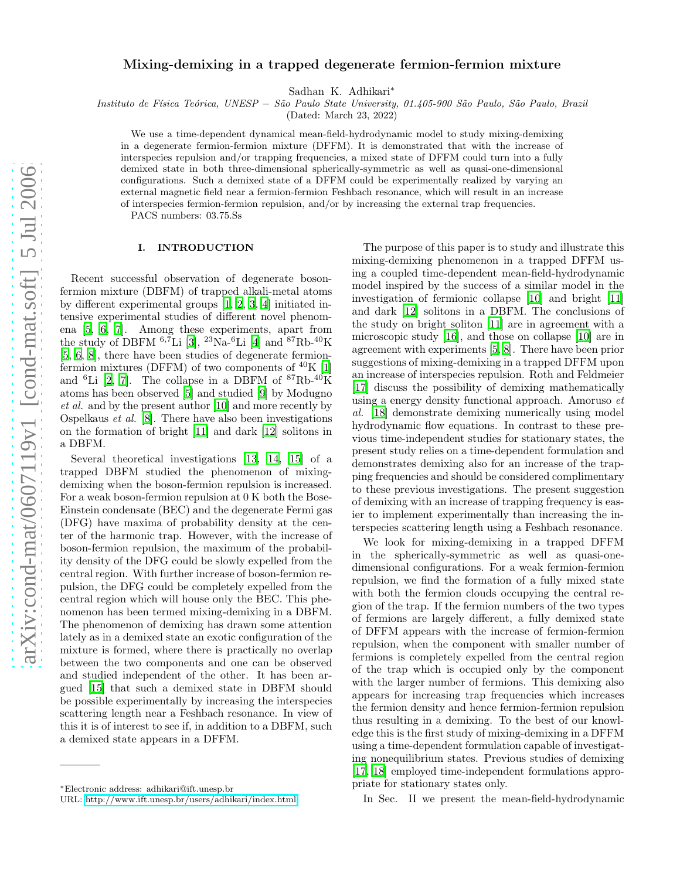# Mixing-demixing in a trapped degenerate fermion-fermion mixture

Sadhan K. Adhikari<sup>∗</sup>

Instituto de F´ısica Te´orica, UNESP − S˜ao Paulo State University, 01.405-900 S˜ao Paulo, S˜ao Paulo, Brazil

(Dated: March 23, 2022)

We use a time-dependent dynamical mean-field-hydrodynamic model to study mixing-demixing in a degenerate fermion-fermion mixture (DFFM). It is demonstrated that with the increase of interspecies repulsion and/or trapping frequencies, a mixed state of DFFM could turn into a fully demixed state in both three-dimensional spherically-symmetric as well as quasi-one-dimensional configurations. Such a demixed state of a DFFM could be experimentally realized by varying an external magnetic field near a fermion-fermion Feshbach resonance, which will result in an increase of interspecies fermion-fermion repulsion, and/or by increasing the external trap frequencies.

PACS numbers: 03.75.Ss

### I. INTRODUCTION

Recent successful observation of degenerate bosonfermion mixture (DBFM) of trapped alkali-metal atoms by different experimental groups [\[1](#page-5-0), [2,](#page-5-1) [3,](#page-5-2) [4](#page-5-3)] initiated intensive experimental studies of different novel phenomena [\[5,](#page-5-4) [6,](#page-5-5) [7](#page-5-6)]. Among these experiments, apart from the study of DBFM  $^{6,7}$ Li [\[3\]](#page-5-2),  $^{23}$ Na- $^{6}$ Li [\[4\]](#page-5-3) and  $^{87}$ Rb- $^{40}$ K [\[5,](#page-5-4) [6](#page-5-5), [8\]](#page-5-7), there have been studies of degenerate fermionfermion mixtures (DFFM) of two components of  $^{40}K$  [\[1](#page-5-0)] and <sup>6</sup>Li [\[2,](#page-5-1) [7\]](#page-5-6). The collapse in a DBFM of  ${}^{87}Rb-{}^{40}K$ atoms has been observed [\[5\]](#page-5-4) and studied [\[9\]](#page-5-8) by Modugno et al. and by the present author [\[10](#page-5-9)] and more recently by Ospelkaus et al. [\[8](#page-5-7)]. There have also been investigations on the formation of bright [\[11\]](#page-5-10) and dark [\[12](#page-5-11)] solitons in a DBFM.

Several theoretical investigations [\[13,](#page-5-12) [14](#page-5-13), [15\]](#page-5-14) of a trapped DBFM studied the phenomenon of mixingdemixing when the boson-fermion repulsion is increased. For a weak boson-fermion repulsion at 0 K both the Bose-Einstein condensate (BEC) and the degenerate Fermi gas (DFG) have maxima of probability density at the center of the harmonic trap. However, with the increase of boson-fermion repulsion, the maximum of the probability density of the DFG could be slowly expelled from the central region. With further increase of boson-fermion repulsion, the DFG could be completely expelled from the central region which will house only the BEC. This phenomenon has been termed mixing-demixing in a DBFM. The phenomenon of demixing has drawn some attention lately as in a demixed state an exotic configuration of the mixture is formed, where there is practically no overlap between the two components and one can be observed and studied independent of the other. It has been argued [\[15\]](#page-5-14) that such a demixed state in DBFM should be possible experimentally by increasing the interspecies scattering length near a Feshbach resonance. In view of this it is of interest to see if, in addition to a DBFM, such a demixed state appears in a DFFM.

The purpose of this paper is to study and illustrate this mixing-demixing phenomenon in a trapped DFFM using a coupled time-dependent mean-field-hydrodynamic model inspired by the success of a similar model in the investigation of fermionic collapse [\[10\]](#page-5-9) and bright [\[11](#page-5-10)] and dark [\[12\]](#page-5-11) solitons in a DBFM. The conclusions of the study on bright soliton [\[11](#page-5-10)] are in agreement with a microscopic study [\[16](#page-5-15)], and those on collapse [\[10\]](#page-5-9) are in agreement with experiments [\[5](#page-5-4), [8\]](#page-5-7). There have been prior suggestions of mixing-demixing in a trapped DFFM upon an increase of interspecies repulsion. Roth and Feldmeier [\[17\]](#page-5-16) discuss the possibility of demixing mathematically using a energy density functional approach. Amoruso et al. [\[18\]](#page-5-17) demonstrate demixing numerically using model hydrodynamic flow equations. In contrast to these previous time-independent studies for stationary states, the present study relies on a time-dependent formulation and demonstrates demixing also for an increase of the trapping frequencies and should be considered complimentary to these previous investigations. The present suggestion of demixing with an increase of trapping frequency is easier to implement experimentally than increasing the interspecies scattering length using a Feshbach resonance.

We look for mixing-demixing in a trapped DFFM in the spherically-symmetric as well as quasi-onedimensional configurations. For a weak fermion-fermion repulsion, we find the formation of a fully mixed state with both the fermion clouds occupying the central region of the trap. If the fermion numbers of the two types of fermions are largely different, a fully demixed state of DFFM appears with the increase of fermion-fermion repulsion, when the component with smaller number of fermions is completely expelled from the central region of the trap which is occupied only by the component with the larger number of fermions. This demixing also appears for increasing trap frequencies which increases the fermion density and hence fermion-fermion repulsion thus resulting in a demixing. To the best of our knowledge this is the first study of mixing-demixing in a DFFM using a time-dependent formulation capable of investigating nonequilibrium states. Previous studies of demixing [\[17,](#page-5-16) [18](#page-5-17)] employed time-independent formulations appropriate for stationary states only.

In Sec. II we present the mean-field-hydrodynamic

<sup>∗</sup>Electronic address: adhikari@ift.unesp.br

URL:<http://www.ift.unesp.br/users/adhikari/index.html>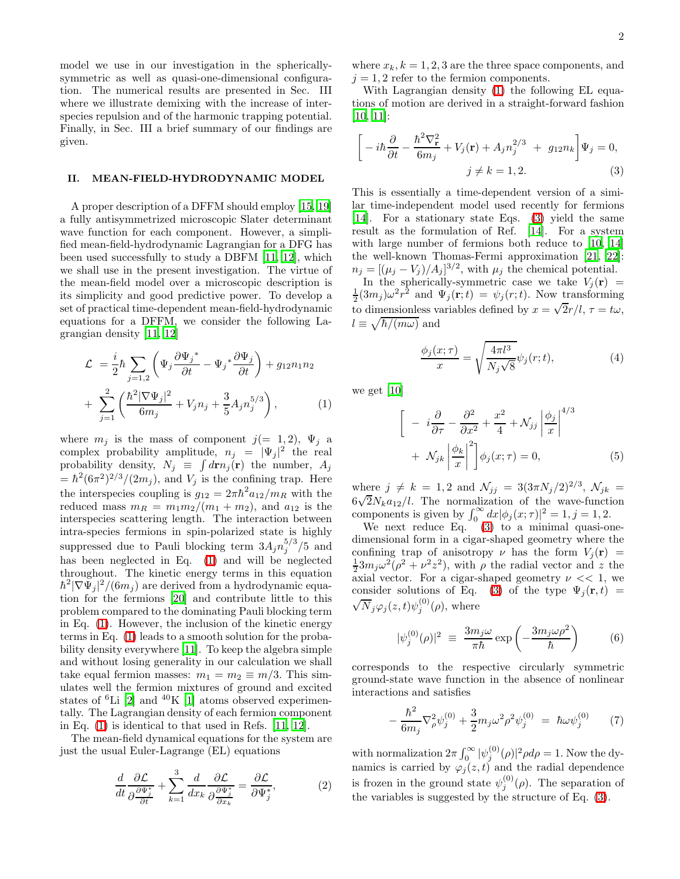model we use in our investigation in the sphericallysymmetric as well as quasi-one-dimensional configuration. The numerical results are presented in Sec. III where we illustrate demixing with the increase of interspecies repulsion and of the harmonic trapping potential. Finally, in Sec. III a brief summary of our findings are given.

## II. MEAN-FIELD-HYDRODYNAMIC MODEL

A proper description of a DFFM should employ [\[15](#page-5-14), [19](#page-5-18)] a fully antisymmetrized microscopic Slater determinant wave function for each component. However, a simplified mean-field-hydrodynamic Lagrangian for a DFG has been used successfully to study a DBFM [\[11,](#page-5-10) [12\]](#page-5-11), which we shall use in the present investigation. The virtue of the mean-field model over a microscopic description is its simplicity and good predictive power. To develop a set of practical time-dependent mean-field-hydrodynamic equations for a DFFM, we consider the following Lagrangian density [\[11](#page-5-10), [12](#page-5-11)]

<span id="page-1-0"></span>
$$
\mathcal{L} = \frac{i}{2} \hbar \sum_{j=1,2} \left( \Psi_j \frac{\partial \Psi_j^*}{\partial t} - \Psi_j^* \frac{\partial \Psi_j}{\partial t} \right) + g_{12} n_1 n_2
$$
  
+ 
$$
\sum_{j=1}^2 \left( \frac{\hbar^2 |\nabla \Psi_j|^2}{6m_j} + V_j n_j + \frac{3}{5} A_j n_j^{5/3} \right), \tag{1}
$$

where  $m_j$  is the mass of component  $j(= 1, 2)$ ,  $\Psi_j$  a complex probability amplitude,  $n_j = |\Psi_j|^2$  the real probability density,  $N_j \equiv \int d\mathbf{r} n_j(\mathbf{r})$  the number,  $A_j$  $=\hbar^2(6\pi^2)^{2/3}/(2m_j)$ , and  $V_j$  is the confining trap. Here the interspecies coupling is  $g_{12} = 2\pi \hbar^2 a_{12}/m_R$  with the reduced mass  $m_R = m_1 m_2/(m_1 + m_2)$ , and  $a_{12}$  is the interspecies scattering length. The interaction between intra-species fermions in spin-polarized state is highly suppressed due to Pauli blocking term  $3A_j n_j^{5/3}$  $j^{5/5}$  /5 and has been neglected in Eq. [\(1\)](#page-1-0) and will be neglected throughout. The kinetic energy terms in this equation  $\hbar^2 |\nabla \Psi_j|^2/(6m_j)$  are derived from a hydrodynamic equation for the fermions [\[20\]](#page-5-19) and contribute little to this problem compared to the dominating Pauli blocking term in Eq. [\(1\)](#page-1-0). However, the inclusion of the kinetic energy terms in Eq. [\(1\)](#page-1-0) leads to a smooth solution for the probability density everywhere [\[11](#page-5-10)]. To keep the algebra simple and without losing generality in our calculation we shall take equal fermion masses:  $m_1 = m_2 \equiv m/3$ . This simulates well the fermion mixtures of ground and excited states of  ${}^{6}$ Li [\[2](#page-5-1)] and  ${}^{40}$ K [\[1](#page-5-0)] atoms observed experimentally. The Lagrangian density of each fermion component in Eq. [\(1\)](#page-1-0) is identical to that used in Refs. [\[11,](#page-5-10) [12\]](#page-5-11).

The mean-field dynamical equations for the system are just the usual Euler-Lagrange (EL) equations

$$
\frac{d}{dt}\frac{\partial \mathcal{L}}{\partial \frac{\partial \Psi_{j}^{*}}{\partial t}} + \sum_{k=1}^{3} \frac{d}{dx_{k}} \frac{\partial \mathcal{L}}{\partial \frac{\partial \Psi_{j}^{*}}{\partial x_{k}}} = \frac{\partial \mathcal{L}}{\partial \Psi_{j}^{*}},
$$
\n(2)

where  $x_k, k = 1, 2, 3$  are the three space components, and  $j = 1, 2$  refer to the fermion components.

With Lagrangian density [\(1\)](#page-1-0) the following EL equations of motion are derived in a straight-forward fashion [\[10,](#page-5-9) [11\]](#page-5-10):

<span id="page-1-1"></span>
$$
\left[-i\hbar\frac{\partial}{\partial t} - \frac{\hbar^2 \nabla_{\mathbf{r}}^2}{6m_j} + V_j(\mathbf{r}) + A_j n_j^{2/3} + g_{12} n_k\right] \Psi_j = 0,
$$
  

$$
j \neq k = 1, 2.
$$
 (3)

This is essentially a time-dependent version of a similar time-independent model used recently for fermions [\[14\]](#page-5-13). For a stationary state Eqs. [\(3\)](#page-1-1) yield the same result as the formulation of Ref. [\[14\]](#page-5-13). For a system with large number of fermions both reduce to [\[10,](#page-5-9) [14](#page-5-13)] the well-known Thomas-Fermi approximation [\[21,](#page-5-20) [22\]](#page-5-21):  $n_j = [(\mu_j - V_j)/A_j]^{3/2}$ , with  $\mu_j$  the chemical potential.

In the spherically-symmetric case we take  $V_j(\mathbf{r})$  =  $\frac{1}{2}(3m_j)\omega^2r^{\hat{2}}$  and  $\Psi_j(\mathbf{r};t) = \psi_j(r;t)$ . Now transforming to dimensionless variables defined by  $x = \sqrt{2}r/l$ ,  $\tau = t\omega$ ,  $l \equiv \sqrt{\hbar/(m\omega)}$  and

$$
\frac{\phi_j(x;\tau)}{x} = \sqrt{\frac{4\pi l^3}{N_j\sqrt{8}}} \psi_j(r;t),\tag{4}
$$

<span id="page-1-2"></span>we get [\[10\]](#page-5-9)

$$
\left[ -i\frac{\partial}{\partial \tau} - \frac{\partial^2}{\partial x^2} + \frac{x^2}{4} + \mathcal{N}_{jj} \left| \frac{\phi_j}{x} \right|^{4/3} + \mathcal{N}_{jk} \left| \frac{\phi_k}{x} \right|^2 \right] \phi_j(x;\tau) = 0,
$$
\n(5)

where  $j \neq k = 1, 2$  and  $\mathcal{N}_{jj} = 3(3\pi N_j/2)^{2/3}, \mathcal{N}_{jk} =$  $6\sqrt{2}N_k a_{12}/l$ . The normalization of the wave-function components is given by  $\int_0^\infty dx |\phi_j(x;\tau)|^2 = 1, j = 1, 2$ .

We next reduce Eq. [\(3\)](#page-1-1) to a minimal quasi-onedimensional form in a cigar-shaped geometry where the confining trap of anisotropy  $\nu$  has the form  $V_i(\mathbf{r}) =$  $\frac{1}{2}3m_j\omega^2(\rho^2+\nu^2z^2)$ , with  $\rho$  the radial vector and z the axial vector. For a cigar-shaped geometry  $\nu \ll 1$ , we consider solutions of Eq. [\(3\)](#page-1-1) of the type  $\Psi_i(\mathbf{r},t)$  =  $\sqrt{N}_j \varphi_j(z,t) \psi_j^{(0)}(\rho)$ , where

$$
|\psi_j^{(0)}(\rho)|^2 \equiv \frac{3m_j\omega}{\pi\hbar} \exp\left(-\frac{3m_j\omega\rho^2}{\hbar}\right) \tag{6}
$$

corresponds to the respective circularly symmetric ground-state wave function in the absence of nonlinear interactions and satisfies

$$
-\frac{\hbar^2}{6m_j}\nabla^2_{\rho}\psi_j^{(0)} + \frac{3}{2}m_j\omega^2\rho^2\psi_j^{(0)} = \hbar\omega\psi_j^{(0)} \qquad (7)
$$

with normalization  $2\pi \int_0^\infty |\psi_j^{(0)}(\rho)|^2 \rho d\rho = 1$ . Now the dynamics is carried by  $\varphi_j(z,t)$  and the radial dependence is frozen in the ground state  $\psi_j^{(0)}(\rho)$ . The separation of the variables is suggested by the structure of Eq. [\(3\)](#page-1-1).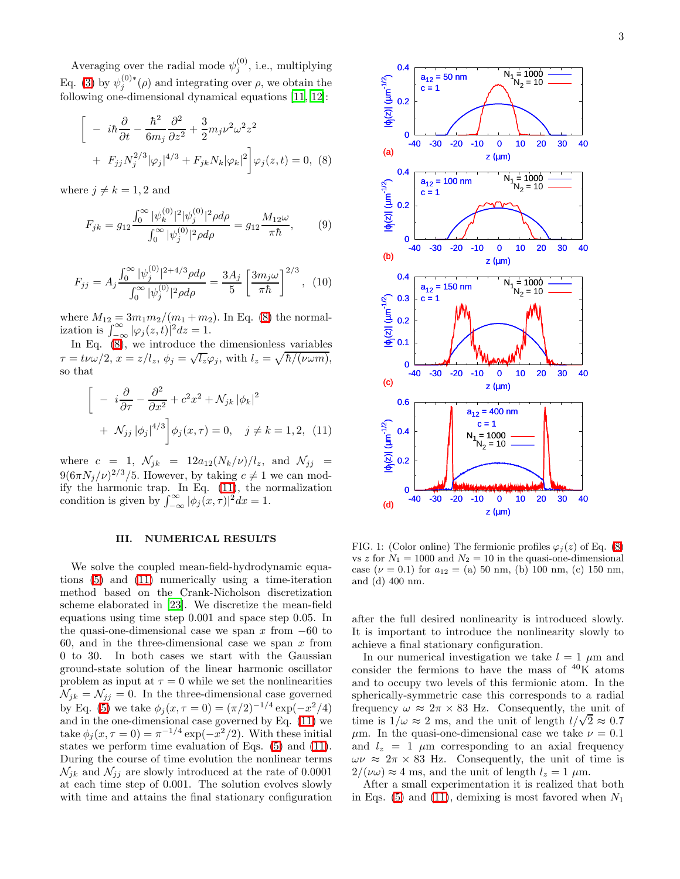Averaging over the radial mode  $\psi_j^{(0)}$ , i.e., multiplying Eq. [\(3\)](#page-1-1) by  $\psi_j^{(0)*}(\rho)$  and integrating over  $\rho$ , we obtain the following one-dimensional dynamical equations [\[11,](#page-5-10) [12\]](#page-5-11):

<span id="page-2-0"></span>
$$
\left[ -i\hbar \frac{\partial}{\partial t} - \frac{\hbar^2}{6m_j} \frac{\partial^2}{\partial z^2} + \frac{3}{2} m_j \nu^2 \omega^2 z^2 + F_{jj} N_j^{2/3} |\varphi_j|^{4/3} + F_{jk} N_k |\varphi_k|^2 \right] \varphi_j(z, t) = 0, \quad (8)
$$

where  $j \neq k = 1, 2$  and

$$
F_{jk} = g_{12} \frac{\int_0^\infty |\psi_k^{(0)}|^2 |\psi_j^{(0)}|^2 \rho d\rho}{\int_0^\infty |\psi_j^{(0)}|^2 \rho d\rho} = g_{12} \frac{M_{12}\omega}{\pi\hbar},\qquad(9)
$$

$$
F_{jj} = A_j \frac{\int_0^\infty |\psi_j^{(0)}|^{2+4/3} \rho d\rho}{\int_0^\infty |\psi_j^{(0)}|^2 \rho d\rho} = \frac{3A_j}{5} \left[ \frac{3m_j \omega}{\pi \hbar} \right]^{2/3}, \tag{10}
$$

where  $M_{12} = 3m_1m_2/(m_1 + m_2)$ . In Eq. [\(8\)](#page-2-0) the normalization is  $\int_{-\infty}^{\infty} |\varphi_j(z,t)|^2 dz = 1$ .

<span id="page-2-1"></span>In Eq. [\(8\)](#page-2-0), we introduce the dimensionless variables  $\tau = t\nu\omega/2, x = z/l_z, \phi_j = \sqrt{l_z}\varphi_j$ , with  $l_z = \sqrt{\hbar/(\nu\omega m)}$ , so that

$$
\begin{aligned}\n&\left[ -i\frac{\partial}{\partial \tau} - \frac{\partial^2}{\partial x^2} + c^2 x^2 + \mathcal{N}_{jk} |\phi_k|^2 \right. \\
&+ \mathcal{N}_{jj} |\phi_j|^{4/3} \bigg] \phi_j(x, \tau) = 0, \quad j \neq k = 1, 2, \ (11)\n\end{aligned}
$$

where  $c = 1$ ,  $\mathcal{N}_{jk} = 12a_{12}(N_k/\nu)/l_z$ , and  $\mathcal{N}_{jj} =$  $9(6\pi N_j/\nu)^{2/3}/5$ . However, by taking  $c \neq 1$  we can modify the harmonic trap. In Eq.  $(11)$ , the normalization condition is given by  $\int_{-\infty}^{\infty} |\phi_j(x,\tau)|^2 dx = 1$ .

### III. NUMERICAL RESULTS

We solve the coupled mean-field-hydrodynamic equations [\(5\)](#page-1-2) and [\(11\)](#page-2-1) numerically using a time-iteration method based on the Crank-Nicholson discretization scheme elaborated in [\[23](#page-5-22)]. We discretize the mean-field equations using time step 0.001 and space step 0.05. In the quasi-one-dimensional case we span x from  $-60$  to 60, and in the three-dimensional case we span  $x$  from 0 to 30. In both cases we start with the Gaussian ground-state solution of the linear harmonic oscillator problem as input at  $\tau = 0$  while we set the nonlinearities  $\mathcal{N}_{jk} = \mathcal{N}_{jj} = 0$ . In the three-dimensional case governed by Eq. [\(5\)](#page-1-2) we take  $\phi_j(x, \tau = 0) = (\pi/2)^{-1/4} \exp(-x^2/4)$ and in the one-dimensional case governed by Eq. [\(11\)](#page-2-1) we take  $\phi_j(x, \tau = 0) = \pi^{-1/4} \exp(-x^2/2)$ . With these initial states we perform time evaluation of Eqs. [\(5\)](#page-1-2) and [\(11\)](#page-2-1). During the course of time evolution the nonlinear terms  $\mathcal{N}_{ik}$  and  $\mathcal{N}_{ij}$  are slowly introduced at the rate of 0.0001 at each time step of 0.001. The solution evolves slowly with time and attains the final stationary configuration



FIG. 1: (Color online) The fermionic profiles  $\varphi_i(z)$  of Eq. [\(8\)](#page-2-0) vs z for  $N_1 = 1000$  and  $N_2 = 10$  in the quasi-one-dimensional case ( $\nu = 0.1$ ) for  $a_{12} =$  (a) 50 nm, (b) 100 nm, (c) 150 nm, and (d) 400 nm.

after the full desired nonlinearity is introduced slowly. It is important to introduce the nonlinearity slowly to achieve a final stationary configuration.

In our numerical investigation we take  $l = 1 \mu m$  and consider the fermions to have the mass of  ${}^{40}\text{K}$  atoms and to occupy two levels of this fermionic atom. In the spherically-symmetric case this corresponds to a radial frequency  $\omega \approx 2\pi \times 83$  Hz. Consequently, the unit of time is  $1/\omega \approx 2$  ms, and the unit of length  $l/\sqrt{2} \approx 0.7$  $\mu$ m. In the quasi-one-dimensional case we take  $\nu = 0.1$ and  $l_z = 1 \mu m$  corresponding to an axial frequency  $\omega \nu \approx 2\pi \times 83$  Hz. Consequently, the unit of time is  $2/(\nu\omega) \approx 4$  ms, and the unit of length  $l_z = 1 \mu m$ .

After a small experimentation it is realized that both in Eqs.  $(5)$  and  $(11)$ , demixing is most favored when  $N_1$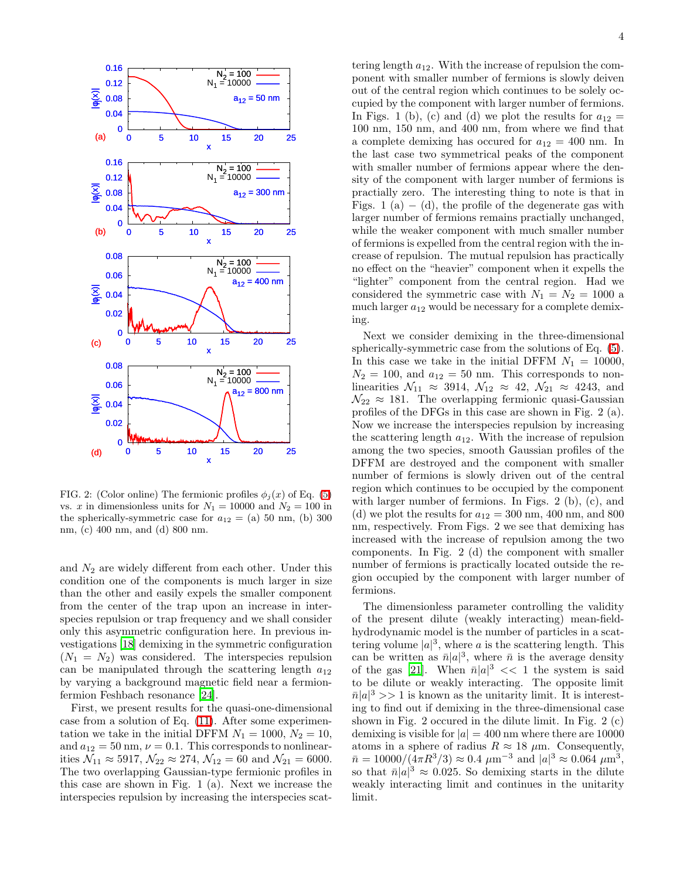

FIG. 2: (Color online) The fermionic profiles  $\phi_i(x)$  of Eq. [\(5\)](#page-1-2) vs. x in dimensionless units for  $N_1 = 10000$  and  $N_2 = 100$  in the spherically-symmetric case for  $a_{12} = (a) 50$  nm, (b) 300 nm, (c) 400 nm, and (d) 800 nm.

and  $N_2$  are widely different from each other. Under this condition one of the components is much larger in size than the other and easily expels the smaller component from the center of the trap upon an increase in interspecies repulsion or trap frequency and we shall consider only this asymmetric configuration here. In previous investigations [\[18](#page-5-17)] demixing in the symmetric configuration  $(N_1 = N_2)$  was considered. The interspecies repulsion can be manipulated through the scattering length  $a_{12}$ by varying a background magnetic field near a fermionfermion Feshbach resonance [\[24](#page-5-23)].

First, we present results for the quasi-one-dimensional case from a solution of Eq. [\(11\)](#page-2-1). After some experimentation we take in the initial DFFM  $N_1 = 1000, N_2 = 10$ , and  $a_{12} = 50$  nm,  $\nu = 0.1$ . This corresponds to nonlinearities  $\mathcal{N}_{11} \approx 5917, \mathcal{N}_{22} \approx 274, \mathcal{N}_{12} = 60$  and  $\mathcal{N}_{21} = 6000$ . The two overlapping Gaussian-type fermionic profiles in this case are shown in Fig. 1 (a). Next we increase the interspecies repulsion by increasing the interspecies scat-

tering length  $a_{12}$ . With the increase of repulsion the component with smaller number of fermions is slowly deiven out of the central region which continues to be solely occupied by the component with larger number of fermions. In Figs. 1 (b), (c) and (d) we plot the results for  $a_{12} =$ 100 nm, 150 nm, and 400 nm, from where we find that a complete demixing has occurred for  $a_{12} = 400$  nm. In the last case two symmetrical peaks of the component with smaller number of fermions appear where the density of the component with larger number of fermions is practially zero. The interesting thing to note is that in Figs. 1 (a)  $-$  (d), the profile of the degenerate gas with larger number of fermions remains practially unchanged, while the weaker component with much smaller number of fermions is expelled from the central region with the increase of repulsion. The mutual repulsion has practically no effect on the "heavier" component when it expells the "lighter" component from the central region. Had we considered the symmetric case with  $N_1 = N_2 = 1000$  a much larger  $a_{12}$  would be necessary for a complete demixing.

Next we consider demixing in the three-dimensional spherically-symmetric case from the solutions of Eq. [\(5\)](#page-1-2). In this case we take in the initial DFFM  $N_1 = 10000$ ,  $N_2 = 100$ , and  $a_{12} = 50$  nm. This corresponds to nonlinearities  $\mathcal{N}_{11} \approx 3914, \mathcal{N}_{12} \approx 42, \mathcal{N}_{21} \approx 4243$ , and  $\mathcal{N}_{22} \approx 181$ . The overlapping fermionic quasi-Gaussian profiles of the DFGs in this case are shown in Fig. 2 (a). Now we increase the interspecies repulsion by increasing the scattering length  $a_{12}$ . With the increase of repulsion among the two species, smooth Gaussian profiles of the DFFM are destroyed and the component with smaller number of fermions is slowly driven out of the central region which continues to be occupied by the component with larger number of fermions. In Figs. 2 (b), (c), and (d) we plot the results for  $a_{12} = 300$  nm, 400 nm, and 800 nm, respectively. From Figs. 2 we see that demixing has increased with the increase of repulsion among the two components. In Fig. 2 (d) the component with smaller number of fermions is practically located outside the region occupied by the component with larger number of fermions.

The dimensionless parameter controlling the validity of the present dilute (weakly interacting) mean-fieldhydrodynamic model is the number of particles in a scattering volume  $|a|^3$ , where a is the scattering length. This can be written as  $\bar{n}|a|^3$ , where  $\bar{n}$  is the average density of the gas [\[21\]](#page-5-20). When  $\bar{n}|a|^3 \ll 1$  the system is said to be dilute or weakly interacting. The opposite limit  $\bar{n}|a|^3 >> 1$  is known as the unitarity limit. It is interesting to find out if demixing in the three-dimensional case shown in Fig. 2 occured in the dilute limit. In Fig. 2 (c) demixing is visible for  $|a| = 400$  nm where there are 10000 atoms in a sphere of radius  $R \approx 18 \mu$ m. Consequently,  $\bar{n} = 10000/(\frac{4}{3}\pi R^3/3) \approx 0.4 \ \mu m^{-3} \text{ and } |a|^3 \approx 0.064 \ \mu m^3,$ so that  $\bar{n}|a|^3 \approx 0.025$ . So demixing starts in the dilute weakly interacting limit and continues in the unitarity limit.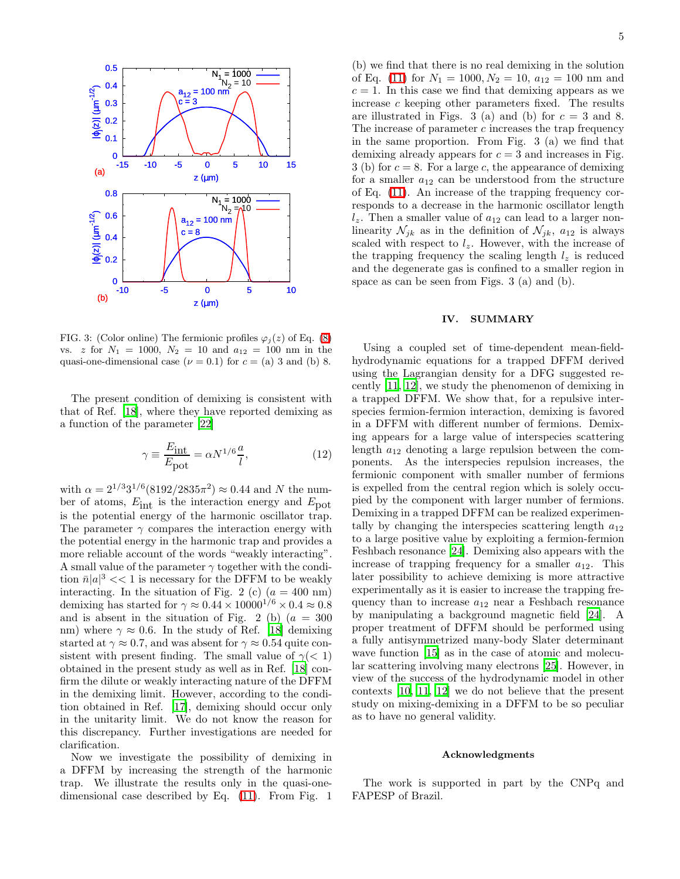

FIG. 3: (Color online) The fermionic profiles  $\varphi_j(z)$  of Eq. [\(8\)](#page-2-0) vs. z for  $N_1 = 1000$ ,  $N_2 = 10$  and  $a_{12} = 100$  nm in the quasi-one-dimensional case ( $\nu = 0.1$ ) for  $c =$  (a) 3 and (b) 8.

The present condition of demixing is consistent with that of Ref. [\[18\]](#page-5-17), where they have reported demixing as a function of the parameter [\[22](#page-5-21)]

$$
\gamma \equiv \frac{E_{\rm int}}{E_{\rm pot}} = \alpha N^{1/6} \frac{a}{l},\tag{12}
$$

with  $\alpha = 2^{1/3}3^{1/6}(8192/2835\pi^2) \approx 0.44$  and N the number of atoms,  $E_{\text{int}}$  is the interaction energy and  $E_{\text{pot}}$ is the potential energy of the harmonic oscillator trap. The parameter  $\gamma$  compares the interaction energy with the potential energy in the harmonic trap and provides a more reliable account of the words "weakly interacting". A small value of the parameter  $\gamma$  together with the condition  $\bar{n}|a|^3 \ll 1$  is necessary for the DFFM to be weakly interacting. In the situation of Fig. 2 (c)  $(a = 400 \text{ nm})$ demixing has started for  $\gamma \approx 0.44 \times 10000^{1/6} \times 0.4 \approx 0.8$ and is absent in the situation of Fig. 2 (b)  $(a = 300$ nm) where  $\gamma \approx 0.6$ . In the study of Ref. [\[18\]](#page-5-17) demixing started at  $\gamma \approx 0.7$ , and was absent for  $\gamma \approx 0.54$  quite consistent with present finding. The small value of  $\gamma$ (< 1) obtained in the present study as well as in Ref. [\[18\]](#page-5-17) confirm the dilute or weakly interacting nature of the DFFM in the demixing limit. However, according to the condition obtained in Ref. [\[17\]](#page-5-16), demixing should occur only in the unitarity limit. We do not know the reason for this discrepancy. Further investigations are needed for clarification.

Now we investigate the possibility of demixing in a DFFM by increasing the strength of the harmonic trap. We illustrate the results only in the quasi-onedimensional case described by Eq. [\(11\)](#page-2-1). From Fig. 1

(b) we find that there is no real demixing in the solution of Eq. [\(11\)](#page-2-1) for  $N_1 = 1000, N_2 = 10, a_{12} = 100$  nm and  $c = 1$ . In this case we find that demixing appears as we increase c keeping other parameters fixed. The results are illustrated in Figs. 3 (a) and (b) for  $c = 3$  and 8. The increase of parameter  $c$  increases the trap frequency in the same proportion. From Fig. 3 (a) we find that demixing already appears for  $c = 3$  and increases in Fig. 3 (b) for  $c = 8$ . For a large c, the appearance of demixing for a smaller  $a_{12}$  can be understood from the structure of Eq. [\(11\)](#page-2-1). An increase of the trapping frequency corresponds to a decrease in the harmonic oscillator length  $l_z$ . Then a smaller value of  $a_{12}$  can lead to a larger nonlinearity  $\mathcal{N}_{jk}$  as in the definition of  $\mathcal{N}_{jk}$ ,  $a_{12}$  is always scaled with respect to  $l_z$ . However, with the increase of the trapping frequency the scaling length  $l_z$  is reduced and the degenerate gas is confined to a smaller region in space as can be seen from Figs. 3 (a) and (b).

### IV. SUMMARY

Using a coupled set of time-dependent mean-fieldhydrodynamic equations for a trapped DFFM derived using the Lagrangian density for a DFG suggested recently [\[11,](#page-5-10) [12\]](#page-5-11), we study the phenomenon of demixing in a trapped DFFM. We show that, for a repulsive interspecies fermion-fermion interaction, demixing is favored in a DFFM with different number of fermions. Demixing appears for a large value of interspecies scattering length  $a_{12}$  denoting a large repulsion between the components. As the interspecies repulsion increases, the fermionic component with smaller number of fermions is expelled from the central region which is solely occupied by the component with larger number of fermions. Demixing in a trapped DFFM can be realized experimentally by changing the interspecies scattering length  $a_{12}$ to a large positive value by exploiting a fermion-fermion Feshbach resonance [\[24\]](#page-5-23). Demixing also appears with the increase of trapping frequency for a smaller  $a_{12}$ . This later possibility to achieve demixing is more attractive experimentally as it is easier to increase the trapping frequency than to increase  $a_{12}$  near a Feshbach resonance by manipulating a background magnetic field [\[24\]](#page-5-23). A proper treatment of DFFM should be performed using a fully antisymmetrized many-body Slater determinant wave function [\[15\]](#page-5-14) as in the case of atomic and molecular scattering involving many electrons [\[25](#page-5-24)]. However, in view of the success of the hydrodynamic model in other contexts [\[10,](#page-5-9) [11](#page-5-10), [12](#page-5-11)] we do not believe that the present study on mixing-demixing in a DFFM to be so peculiar as to have no general validity.

### Acknowledgments

The work is supported in part by the CNPq and FAPESP of Brazil.